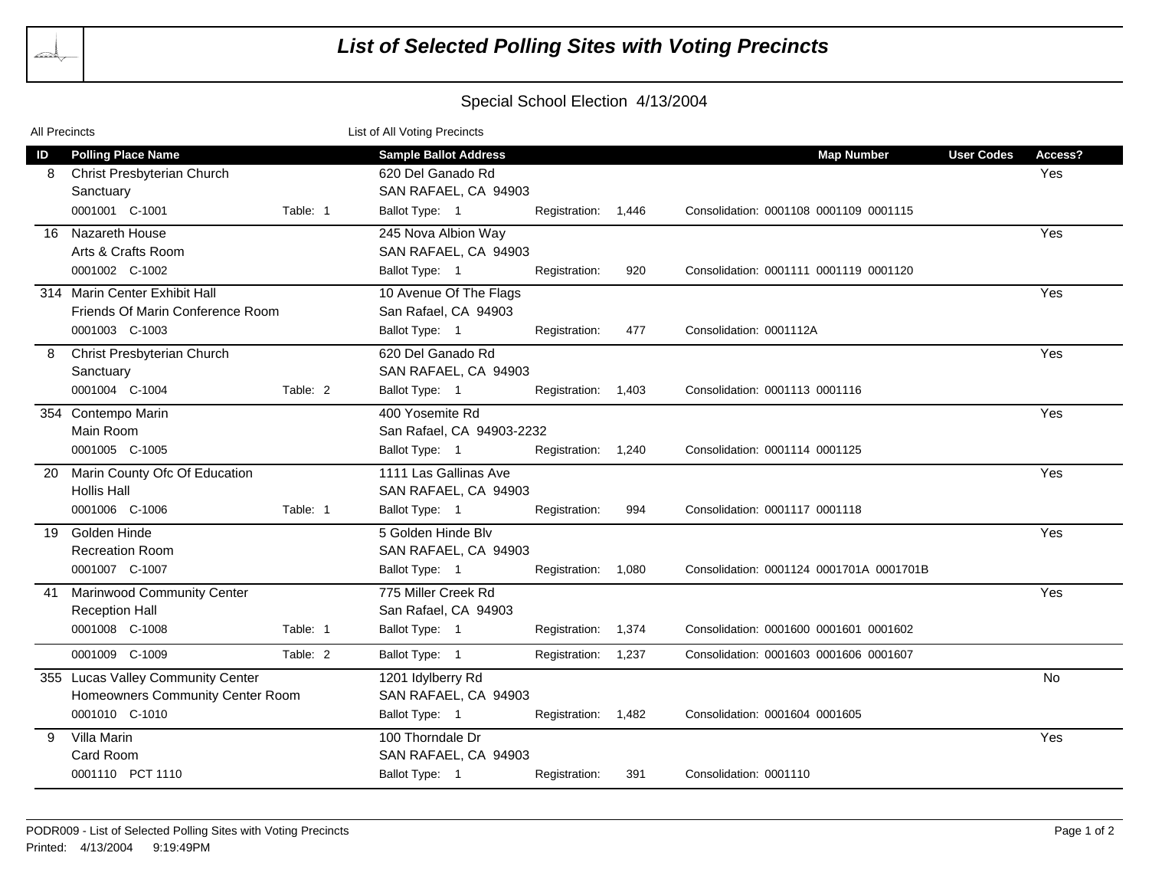

## Special School Election 4/13/2004

| All Precincts |                                                                                         | List of All Voting Precincts |                                                                                             |                     |     |                                                             |                   |                |
|---------------|-----------------------------------------------------------------------------------------|------------------------------|---------------------------------------------------------------------------------------------|---------------------|-----|-------------------------------------------------------------|-------------------|----------------|
| ID<br>8       | <b>Polling Place Name</b><br>Christ Presbyterian Church<br>Sanctuary<br>0001001 C-1001  | Table: 1                     | <b>Sample Ballot Address</b><br>620 Del Ganado Rd<br>SAN RAFAEL, CA 94903<br>Ballot Type: 1 | Registration: 1,446 |     | <b>Map Number</b><br>Consolidation: 0001108 0001109 0001115 | <b>User Codes</b> | Access?<br>Yes |
|               | 16 Nazareth House<br>Arts & Crafts Room<br>0001002 C-1002                               |                              | 245 Nova Albion Way<br>SAN RAFAEL, CA 94903<br>Ballot Type: 1                               | Registration:       | 920 | Consolidation: 0001111 0001119 0001120                      |                   | Yes            |
|               | 314 Marin Center Exhibit Hall<br>Friends Of Marin Conference Room<br>0001003 C-1003     |                              | 10 Avenue Of The Flags<br>San Rafael, CA 94903<br>Ballot Type: 1                            | Registration:       | 477 | Consolidation: 0001112A                                     |                   | Yes            |
| 8             | <b>Christ Presbyterian Church</b><br>Sanctuary<br>0001004 C-1004                        | Table: 2                     | 620 Del Ganado Rd<br>SAN RAFAEL, CA 94903<br>Ballot Type: 1                                 | Registration: 1,403 |     | Consolidation: 0001113 0001116                              |                   | Yes            |
|               | 354 Contempo Marin<br>Main Room<br>0001005 C-1005                                       |                              | 400 Yosemite Rd<br>San Rafael, CA 94903-2232<br>Ballot Type: 1                              | Registration: 1,240 |     | Consolidation: 0001114 0001125                              |                   | Yes            |
|               | 20 Marin County Ofc Of Education<br><b>Hollis Hall</b><br>0001006 C-1006                | Table: 1                     | 1111 Las Gallinas Ave<br>SAN RAFAEL, CA 94903<br>Ballot Type: 1                             | Registration:       | 994 | Consolidation: 0001117 0001118                              |                   | Yes            |
| 19            | Golden Hinde<br><b>Recreation Room</b><br>0001007 C-1007                                |                              | 5 Golden Hinde Blv<br>SAN RAFAEL, CA 94903<br>Ballot Type: 1                                | Registration: 1,080 |     | Consolidation: 0001124 0001701A 0001701B                    |                   | Yes            |
|               | 41 Marinwood Community Center<br><b>Reception Hall</b><br>0001008 C-1008                | Table: 1                     | 775 Miller Creek Rd<br>San Rafael, CA 94903<br>Ballot Type: 1                               | Registration: 1,374 |     | Consolidation: 0001600 0001601 0001602                      |                   | Yes            |
|               | 0001009 C-1009                                                                          | Table: 2                     | Ballot Type: 1                                                                              | Registration: 1,237 |     | Consolidation: 0001603 0001606 0001607                      |                   |                |
|               | 355 Lucas Valley Community Center<br>Homeowners Community Center Room<br>0001010 C-1010 |                              | 1201 Idylberry Rd<br>SAN RAFAEL, CA 94903<br>Ballot Type: 1                                 | Registration: 1,482 |     | Consolidation: 0001604 0001605                              |                   | <b>No</b>      |
| 9             | Villa Marin<br>Card Room<br>0001110 PCT 1110                                            |                              | 100 Thorndale Dr<br>SAN RAFAEL, CA 94903<br>Ballot Type: 1                                  | Registration:       | 391 | Consolidation: 0001110                                      |                   | Yes            |